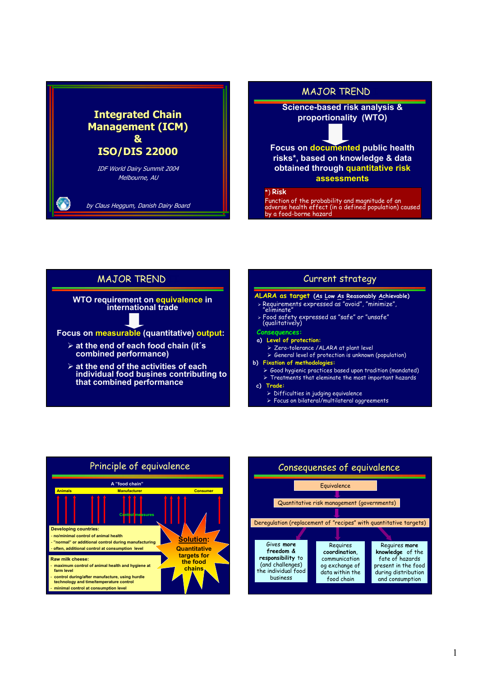# **Integrated Chain Management (ICM) Management (ICM) & ISO/DIS 22000** IDF World Dairy Summit 2004

Melbourne, AU

by Claus Heggum, Danish Dairy Board

**Focus on documented public health risks\*, based on knowledge & data obtained through quantitative risk assessments**

### \*) **Risk**

Function of the probability and magnitude of an adverse health effect (in a defined population) caused by a food-borne hazard







## **MAJOR TREND**

**Science-based risk analysis & proportionality (WTO)**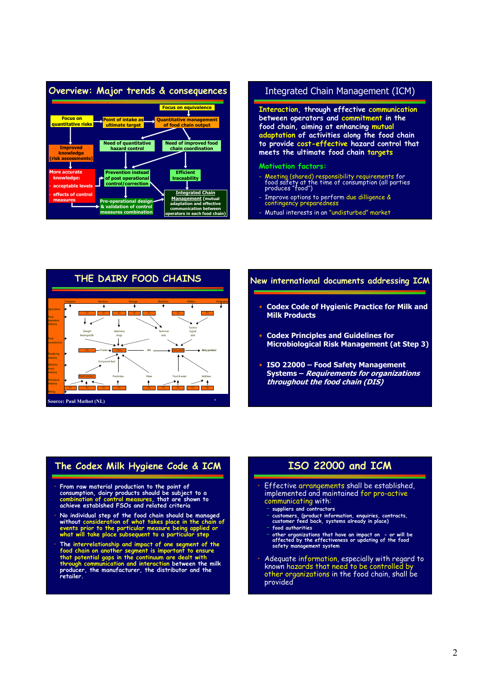## **Overview: Major trends & consequences**



## Integrated Chain Management (ICM)

**Interaction, through effective communication between operators and commitment in the food chain, aiming at enhancing mutual adaptation of activities along the food chain to provide cost-effective hazard control that meets the ultimate food chain targets**

### **Motivation factors:**

- Meeting (shared) responsibility requirements for food safety at the time of consumption (all parties produces "food")
- Improve options to perform due dilligence & contingency preparedness
- Mutual interests in an "undisturbed" market



### **New international documents addressing ICM**

- **Codex Code of Hygienic Practice for Milk and Milk Products**
- **Codex Principles and Guidelines for Microbiological Risk Management (at Step 3)**
- **ISO 22000 Food Safety Management Systems – Requirements for organizations throughout the food chain (DIS)**

## **The Codex Milk Hygiene Code & ICM**

- **From raw material production to the point of consumption, dairy products should be subject to a combination of control measures, that are shown to achieve establshed FSOs and related criteria**
- **No individual step of the food chain should be managed without consideration of what takes place in the chain of events prior to the particular measure being applied or what will take place subsequent to a particular step**
- The interrelationship and impact of one segment of the food chain on another segment is important to ensure that potential gaps in the continuum are dealt with through communication and interaction between the milk produc **retailer.**

# **ISO 22000 and ICM**

- Effective arrangements shall be established, implemented and maintained for pro-active communicating with:
	- **suppliers and contractors**
	- **customers, (product information, enquiries, contracts, customer feed back, systems already in place)** – **food authorities**
	- **other organizations that have an impact on or will be affected by the effectiveness or updating of the food safety management system**
- Adequate information, especially with regard to known hazards that need to be controlled by other organizations in the food chain, shall be provided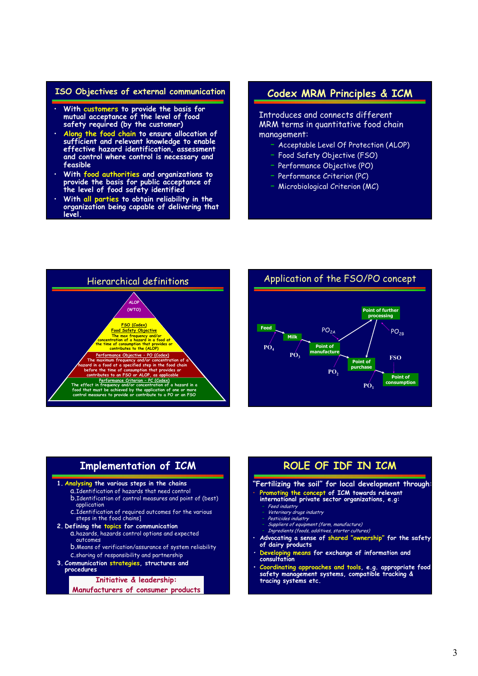### **ISO Objectives of external communication**

- **With customers to provide the basis for mutual acceptance of the level of food safety required (by the customer)**
- **Along the food chain to ensure allocation of sufficient and relevant knowledge to enable effective hazard identification, assessment and control where control is necessary and feasible**
- **With food authorities and organizations to provide the basis for public acceptance of the level of food safety identified**
- **With all parties to obtain reliability in the organization being capable of delivering that level.**

# **Codex MRM Principles & ICM**

Introduces and connects different MRM terms in quantitative food chain management:

- Acceptable Level Of Protection (ALOP)
- Food Safety Objective (FSO)
- Performance Objective (PO)
- Performance Criterion (PC)
- Microbiological Criterion (MC)





# **Implementation of ICM**

### **1. Analysing the various steps in the chains**

- a.Identification of hazards that need control
- b.Identification of control measures and point of (best) application
- c.Identification of required outcomes for the various steps in the food chains]

### **2. Defining the topics for communication**

- a.hazards, hazards control options and expected outcomes
- b.Means of verification/assurance of system reliability
- c.sharing of responsibility and partnership **3. Communication strategies, structures and**
- **procedures**

#### **Initiative & leadership:**

**Manufacturers of consumer products**

# **ROLE OF IDF IN ICM**

### **"Fertilizing the soil" for local development through:**

- **Promoting the concept of ICM towards relevant**
- **international private sector organizations, e.g:** Feed industry
	- Veterinary drugs industry
	- Pesticides industry
	-
	- Suppliers of equipment (farm, manufacture) Ingredients (foods, additives, starter cultures)
- **Advocating a sense of shared "ownership" for the safety of dairy products**
- • **Developing means for exchange of information and consultation**
- **• Coordinating approaches and tools, e.g. appropriate food safety management systems, compatible tracking & tracing systems etc.**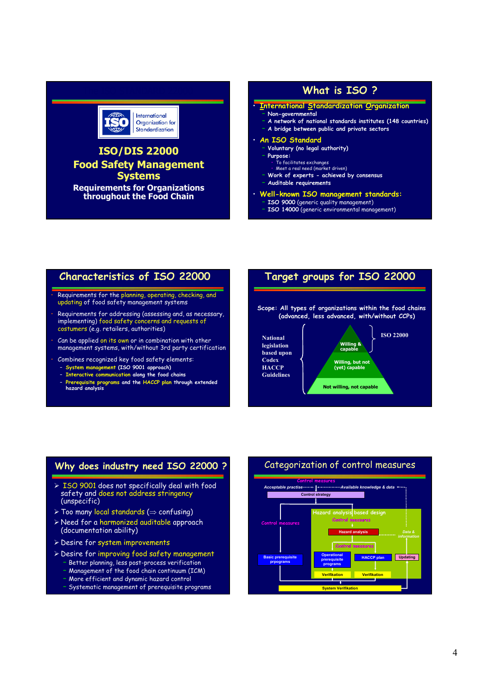## **What is ISO ?**



# **ISO/DIS 22000 Food Safety Management Systems**

**Requirements for Organizations throughout the Food Chain**

### • **International Standardization Organization**

- **Non-governmental**
- **A network of national standards institutes (148 countries)**
- **A bridge between public and private sectors**

#### • **An ISO Standard**

- **Voluntary (no legal authority)**
- **Purpose:**
	- To facilitates exchanges
- Meet a real need (market driven)
- **Work of experts achieved by consensus**
- **Auditable requirements**
- **Well-known ISO management standards:**
	- **ISO 9000** (generic quality management)
	- **ISO 14000** (generic environmental management)

# **Characteristics of ISO 22000**

- Requirements for the planning, operating, checking, and updating of food safety management systems
- Requirements for addressing (assessing and, as necessary, implementing) food safety concerns and requests of costumers (e.g. retailers, authorities)
- Can be applied on its own or in combination with other management systems, with/without 3rd party certification
- Combines recognized key food safety elements:
	- **System management (ISO 9001 approach)**
	- **Interactive communication along the food chains**
	- **Prerequisite programs and the HACCP plan through extended hazard analysis**



## **Why does industry need ISO 22000 ?**

- ¾ ISO 9001 does not specifically deal with food safety and does not address stringency (unspecific)
- ¾ Too many local standards (⇒ confusing)
- ¾ Need for a harmonized auditable approach (documentation ability)
- ¾ Desire for system improvements
- ¾ Desire for improving food safety management – Better planning, less post-process verification
	- Management of the food chain continuum (ICM)
	- More efficient and dynamic hazard control
	- Systematic management of prerequisite programs

# Categorization of control measures